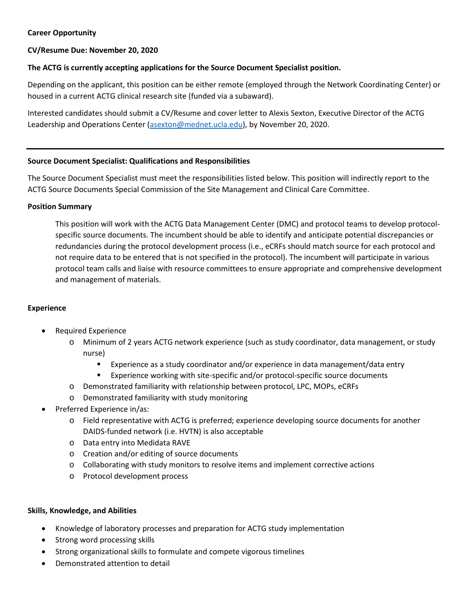# **Career Opportunity**

# **CV/Resume Due: November 20, 2020**

# **The ACTG is currently accepting applications for the Source Document Specialist position.**

Depending on the applicant, this position can be either remote (employed through the Network Coordinating Center) or housed in a current ACTG clinical research site (funded via a subaward).

Interested candidates should submit a CV/Resume and cover letter to Alexis Sexton, Executive Director of the ACTG Leadership and Operations Center [\(asexton@mednet.ucla.edu\)](mailto:asexton@mednet.ucla.edu), by November 20, 2020.

## **Source Document Specialist: Qualifications and Responsibilities**

The Source Document Specialist must meet the responsibilities listed below. This position will indirectly report to the ACTG Source Documents Special Commission of the Site Management and Clinical Care Committee.

#### **Position Summary**

This position will work with the ACTG Data Management Center (DMC) and protocol teams to develop protocolspecific source documents. The incumbent should be able to identify and anticipate potential discrepancies or redundancies during the protocol development process (i.e., eCRFs should match source for each protocol and not require data to be entered that is not specified in the protocol). The incumbent will participate in various protocol team calls and liaise with resource committees to ensure appropriate and comprehensive development and management of materials.

## **Experience**

- Required Experience
	- o Minimum of 2 years ACTG network experience (such as study coordinator, data management, or study nurse)
		- Experience as a study coordinator and/or experience in data management/data entry
		- **Experience working with site-specific and/or protocol-specific source documents**
	- o Demonstrated familiarity with relationship between protocol, LPC, MOPs, eCRFs
	- o Demonstrated familiarity with study monitoring
- Preferred Experience in/as:
	- o Field representative with ACTG is preferred; experience developing source documents for another DAIDS-funded network (i.e. HVTN) is also acceptable
	- o Data entry into Medidata RAVE
	- o Creation and/or editing of source documents
	- o Collaborating with study monitors to resolve items and implement corrective actions
	- o Protocol development process

## **Skills, Knowledge, and Abilities**

- Knowledge of laboratory processes and preparation for ACTG study implementation
- Strong word processing skills
- Strong organizational skills to formulate and compete vigorous timelines
- Demonstrated attention to detail